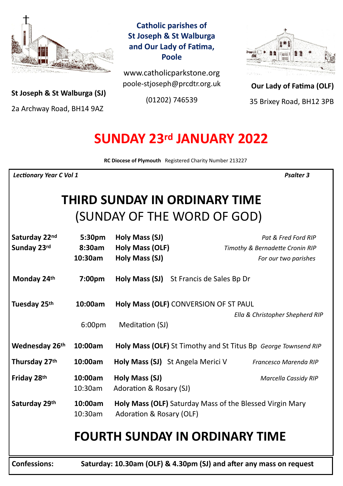

**St Joseph & St Walburga (SJ)**

2a Archway Road, BH14 9AZ 

**Catholic parishes of St Joseph & St Walburga and Our Lady of Fatima, Poole**

www.catholicparkstone.org poole-stjoseph@prcdtr.org.uk

(01202) 746539



**Our Lady of Fatima (OLF)** 35 Brixey Road, BH12 3PB

# **SUNDAY 23rd JANUARY 2022**

**RC Diocese of Plymouth** Registered Charity Number 213227

*Lectionary Year C Vol 1* Psalter 3

# **THIRD SUNDAY IN ORDINARY TIME** (SUNDAY OF THE WORD OF GOD)

| Saturday 22nd<br>Sunday 23rd | 5:30pm<br>8:30am<br>10:30am                                         | Holy Mass (SJ)<br>Holy Mass (OLF)<br>Holy Mass (SJ)                                         | Pat & Fred Ford RIP<br>Timothy & Bernadette Cronin RIP<br>For our two parishes |
|------------------------------|---------------------------------------------------------------------|---------------------------------------------------------------------------------------------|--------------------------------------------------------------------------------|
| Monday 24th                  | 7:00 <sub>pm</sub>                                                  | Holy Mass (SJ)<br>St Francis de Sales Bp Dr                                                 |                                                                                |
| Tuesday 25th                 | 10:00am<br>6:00 <sub>pm</sub>                                       | Holy Mass (OLF) CONVERSION OF ST PAUL<br>Meditation (SJ)                                    | Ella & Christopher Shepherd RIP                                                |
| Wednesday 26th               | 10:00am                                                             | Holy Mass (OLF) St Timothy and St Titus Bp George Townsend RIP                              |                                                                                |
| Thursday 27th                | 10:00am                                                             | Holy Mass (SJ) St Angela Merici V                                                           | Francesco Marenda RIP                                                          |
| Friday 28th                  | 10:00am<br>$10:30$ am                                               | Holy Mass (SJ)<br>Adoration & Rosary (SJ)                                                   | <b>Marcella Cassidy RIP</b>                                                    |
| Saturday 29th                | 10:00am<br>10:30am                                                  | <b>Holy Mass (OLF)</b> Saturday Mass of the Blessed Virgin Mary<br>Adoration & Rosary (OLF) |                                                                                |
|                              | <b>FOURTH SUNDAY IN ORDINARY TIME</b>                               |                                                                                             |                                                                                |
| <b>Confessions:</b>          | Saturday: 10.30am (OLF) & 4.30pm (SJ) and after any mass on request |                                                                                             |                                                                                |